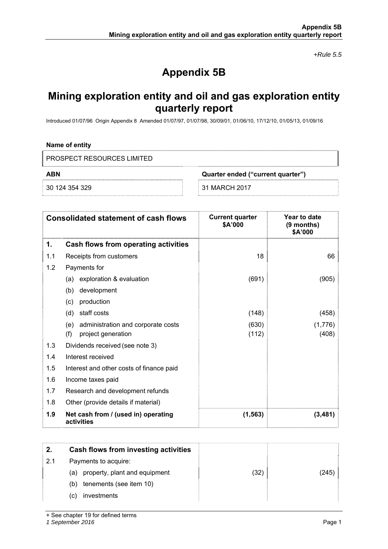*+Rule 5.5* 

# **Appendix 5B**

## **Mining exploration entity and oil and gas exploration entity quarterly report**

Introduced 01/07/96 Origin Appendix 8 Amended 01/07/97, 01/07/98, 30/09/01, 01/06/10, 17/12/10, 01/05/13, 01/09/16

### **Name of entity**

PROSPECT RESOURCES LIMITED

**ABN Quarter ended ("current quarter")** 

30 124 354 329 31 MARCH 2017

| <b>Consolidated statement of cash flows</b> |                                                   | <b>Current quarter</b><br>\$A'000 | Year to date<br>$(9$ months)<br>\$A'000 |
|---------------------------------------------|---------------------------------------------------|-----------------------------------|-----------------------------------------|
| 1.                                          | <b>Cash flows from operating activities</b>       |                                   |                                         |
| 1.1                                         | Receipts from customers                           | 18                                | 66                                      |
| 1.2                                         | Payments for                                      |                                   |                                         |
|                                             | exploration & evaluation<br>(a)                   | (691)                             | (905)                                   |
|                                             | development<br>(b)                                |                                   |                                         |
|                                             | production<br>(c)                                 |                                   |                                         |
|                                             | staff costs<br>(d)                                | (148)                             | (458)                                   |
|                                             | administration and corporate costs<br>(e)         | (630)                             | (1,776)                                 |
|                                             | (f)<br>project generation                         | (112)                             | (408)                                   |
| 1.3                                         | Dividends received (see note 3)                   |                                   |                                         |
| 1.4                                         | Interest received                                 |                                   |                                         |
| 1.5                                         | Interest and other costs of finance paid          |                                   |                                         |
| 1.6                                         | Income taxes paid                                 |                                   |                                         |
| 1.7                                         | Research and development refunds                  |                                   |                                         |
| 1.8                                         | Other (provide details if material)               |                                   |                                         |
| 1.9                                         | Net cash from / (used in) operating<br>activities | (1, 563)                          | (3, 481)                                |

| 2.  | Cash flows from investing activities |      |      |
|-----|--------------------------------------|------|------|
| 2.1 | Payments to acquire:                 |      |      |
|     | property, plant and equipment<br>(a) | (32) | (245 |
|     | tenements (see item 10)<br>(b)       |      |      |
|     | investments<br>(C)                   |      |      |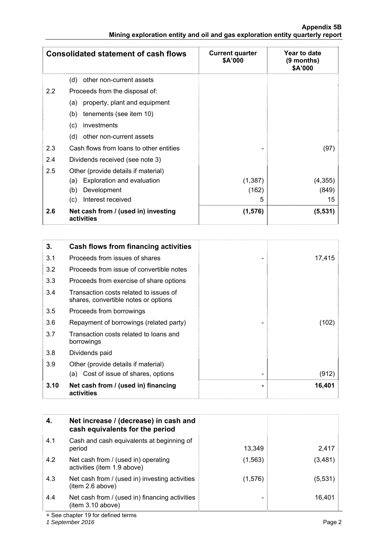|               | <b>Consolidated statement of cash flows</b>       | <b>Current quarter</b><br>\$A'000 | Year to date<br>$(9$ months)<br>\$A'000 |
|---------------|---------------------------------------------------|-----------------------------------|-----------------------------------------|
|               | (d)<br>other non-current assets                   |                                   |                                         |
| $2.2^{\circ}$ | Proceeds from the disposal of:                    |                                   |                                         |
|               | property, plant and equipment<br>(a)              |                                   |                                         |
|               | tenements (see item 10)<br>(b)                    |                                   |                                         |
|               | investments<br>(c)                                |                                   |                                         |
|               | (d)<br>other non-current assets                   |                                   |                                         |
| 2.3           | Cash flows from loans to other entities           |                                   | (97)                                    |
| 2.4           | Dividends received (see note 3)                   |                                   |                                         |
| 2.5           | Other (provide details if material)               |                                   |                                         |
|               | Exploration and evaluation<br>(a)                 | (1, 387)                          | (4, 355)                                |
|               | Development<br>(b)                                | (162)                             | (849)                                   |
|               | Interest received<br>(c)                          | 5                                 | 15                                      |
| 2.6           | Net cash from / (used in) investing<br>activities | (1, 576)                          | (5, 531)                                |

| 3.   | Cash flows from financing activities                                           |        |
|------|--------------------------------------------------------------------------------|--------|
| 3.1  | Proceeds from issues of shares                                                 | 17,415 |
| 3.2  | Proceeds from issue of convertible notes                                       |        |
| 3.3  | Proceeds from exercise of share options                                        |        |
| 3.4  | Transaction costs related to issues of<br>shares, convertible notes or options |        |
| 3.5  | Proceeds from borrowings                                                       |        |
| 3.6  | Repayment of borrowings (related party)                                        | (102)  |
| 3.7  | Transaction costs related to loans and<br>borrowings                           |        |
| 3.8  | Dividends paid                                                                 |        |
| 3.9  | Other (provide details if material)                                            |        |
|      | (a) Cost of issue of shares, options                                           | (912)  |
| 3.10 | Net cash from / (used in) financing<br>activities                              | 16,401 |

| 4.  | Net increase / (decrease) in cash and<br>cash equivalents for the period |          |         |
|-----|--------------------------------------------------------------------------|----------|---------|
| 4.1 | Cash and cash equivalents at beginning of<br>period                      | 13,349   | 2,417   |
| 4.2 | Net cash from / (used in) operating<br>activities (item 1.9 above)       | (1, 563) | (3,481) |
| 4.3 | Net cash from / (used in) investing activities<br>(item 2.6 above)       | (1, 576) | (5,531) |
| 4.4 | Net cash from / (used in) financing activities<br>(item 3.10 above)      |          | 16,401  |

+ See chapter 19 for defined terms

*1 September 2016* Page 2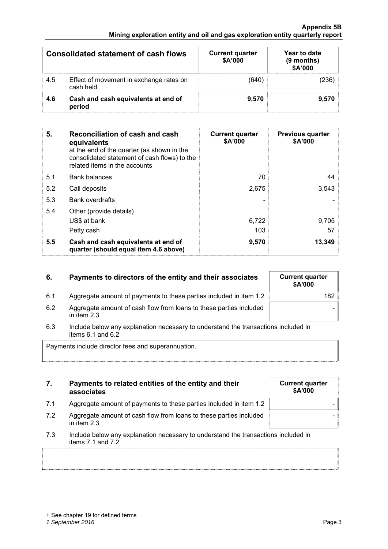## **Appendix 5B Mining exploration entity and oil and gas exploration entity quarterly report**

| <b>Consolidated statement of cash flows</b> |                                                      | <b>Current quarter</b><br>\$A'000 | Year to date<br>$(9$ months)<br>\$A'000 |  |
|---------------------------------------------|------------------------------------------------------|-----------------------------------|-----------------------------------------|--|
| 4.5                                         | Effect of movement in exchange rates on<br>cash held | (640)                             | (236)                                   |  |
| 4.6                                         | Cash and cash equivalents at end of<br>period        | 9,570                             | 9.570                                   |  |

| 5.  | Reconciliation of cash and cash<br>equivalents<br>at the end of the quarter (as shown in the<br>consolidated statement of cash flows) to the<br>related items in the accounts | <b>Current quarter</b><br>\$A'000 | <b>Previous quarter</b><br>\$A'000 |
|-----|-------------------------------------------------------------------------------------------------------------------------------------------------------------------------------|-----------------------------------|------------------------------------|
| 5.1 | <b>Bank balances</b>                                                                                                                                                          | 70                                | 44                                 |
| 5.2 | Call deposits                                                                                                                                                                 | 2,675                             | 3.543                              |
| 5.3 | <b>Bank overdrafts</b>                                                                                                                                                        |                                   |                                    |
| 5.4 | Other (provide details)<br>US\$ at bank<br>Petty cash                                                                                                                         | 6,722<br>103                      | 9,705<br>57                        |
| 5.5 | Cash and cash equivalents at end of<br>quarter (should equal item 4.6 above)                                                                                                  | 9,570                             | 13,349                             |

| 6. | Payments to directors of the entity and their associates |
|----|----------------------------------------------------------|
|    |                                                          |

## **Current quarter \$A'000**  6.1 Aggregate amount of payments to these parties included in item 1.2 182 -

- 6.2 Aggregate amount of cash flow from loans to these parties included in item 2.3
- 6.3 Include below any explanation necessary to understand the transactions included in items 6.1 and 6.2

Payments include director fees and superannuation.

## **7. Payments to related entities of the entity and their associates**

- 7.1 Aggregate amount of payments to these parties included in item 1.2
- 7.2 Aggregate amount of cash flow from loans to these parties included in item 2.3
- 7.3 Include below any explanation necessary to understand the transactions included in items 7.1 and 7.2

| <b>Current quarter</b><br>\$A'000 |  |
|-----------------------------------|--|
|                                   |  |
|                                   |  |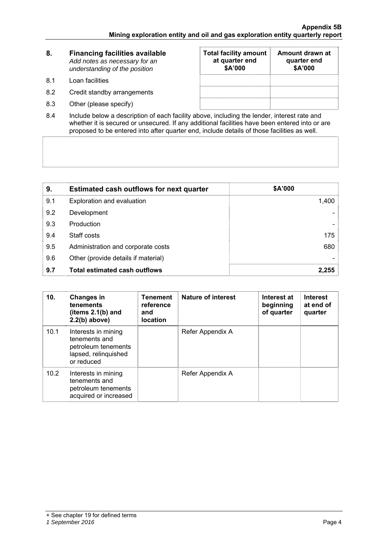| 8.  | <b>Financing facilities available</b><br>Add notes as necessary for an<br>understanding of the position | <b>Total facility amount</b><br>at quarter end<br>\$A'000 | Amount drawn at<br>quarter end<br>\$A'000 |
|-----|---------------------------------------------------------------------------------------------------------|-----------------------------------------------------------|-------------------------------------------|
| 8.1 | Loan facilities                                                                                         |                                                           |                                           |
| 8.2 | Credit standby arrangements                                                                             |                                                           |                                           |
| 8.3 | Other (please specify)                                                                                  |                                                           |                                           |

8.4 Include below a description of each facility above, including the lender, interest rate and whether it is secured or unsecured. If any additional facilities have been entered into or are proposed to be entered into after quarter end, include details of those facilities as well.

| 9.  | <b>Estimated cash outflows for next quarter</b> | \$A'000 |
|-----|-------------------------------------------------|---------|
| 9.1 | Exploration and evaluation                      | 1,400   |
| 9.2 | Development                                     |         |
| 9.3 | Production                                      |         |
| 9.4 | Staff costs                                     | 175     |
| 9.5 | Administration and corporate costs              | 680     |
| 9.6 | Other (provide details if material)             |         |
| 9.7 | <b>Total estimated cash outflows</b>            | 2,255   |

| 10.  | <b>Changes in</b><br>tenements<br>(items $2.1(b)$ and<br>$2.2(b)$ above)                          | <b>Tenement</b><br>reference<br>and<br><b>location</b> | <b>Nature of interest</b> | Interest at<br>beginning<br>of quarter | <b>Interest</b><br>at end of<br>quarter |
|------|---------------------------------------------------------------------------------------------------|--------------------------------------------------------|---------------------------|----------------------------------------|-----------------------------------------|
| 10.1 | Interests in mining<br>tenements and<br>petroleum tenements<br>lapsed, relinquished<br>or reduced |                                                        | Refer Appendix A          |                                        |                                         |
| 10.2 | Interests in mining<br>tenements and<br>petroleum tenements<br>acquired or increased              |                                                        | Refer Appendix A          |                                        |                                         |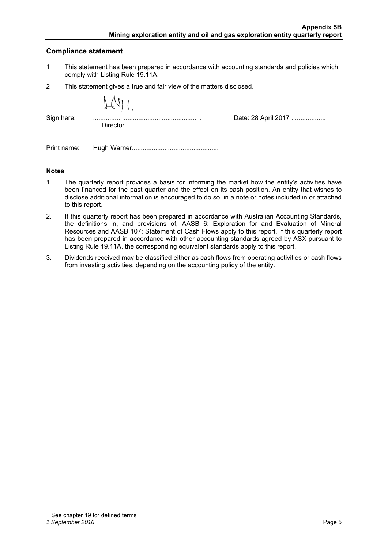## **Compliance statement**

- 1 This statement has been prepared in accordance with accounting standards and policies which comply with Listing Rule 19.11A.
- 2 This statement gives a true and fair view of the matters disclosed.

| ٠<br>٠ |
|--------|
|        |

**Director** 

Sign here: ............................................................ Date: 28 April 2017 ...................

Print name: Hugh Warner................................................

### **Notes**

- 1. The quarterly report provides a basis for informing the market how the entity's activities have been financed for the past quarter and the effect on its cash position. An entity that wishes to disclose additional information is encouraged to do so, in a note or notes included in or attached to this report.
- 2. If this quarterly report has been prepared in accordance with Australian Accounting Standards, the definitions in, and provisions of, AASB 6: Exploration for and Evaluation of Mineral Resources and AASB 107: Statement of Cash Flows apply to this report. If this quarterly report has been prepared in accordance with other accounting standards agreed by ASX pursuant to Listing Rule 19.11A, the corresponding equivalent standards apply to this report.
- 3. Dividends received may be classified either as cash flows from operating activities or cash flows from investing activities, depending on the accounting policy of the entity.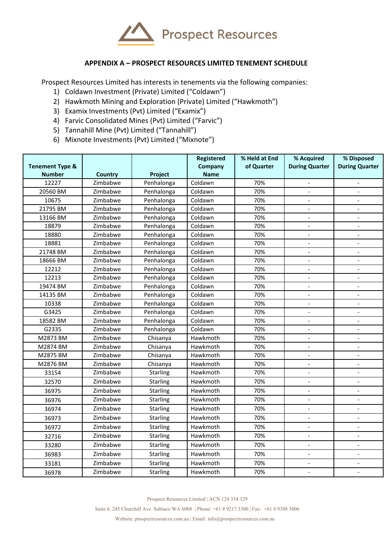

## **APPENDIX A – PROSPECT RESOURCES LIMITED TENEMENT SCHEDULE**

Prospect Resources Limited has interests in tenements via the following companies:

- 1) Coldawn Investment (Private) Limited ("Coldawn")
- 2) Hawkmoth Mining and Exploration (Private) Limited ("Hawkmoth")
- 3) Examix Investments (Pvt) Limited ("Examix")
- 4) Farvic Consolidated Mines (Pvt) Limited ("Farvic")
- 5) Tannahill Mine (Pvt) Limited ("Tannahill")
- 6) Mixnote Investments (Pvt) Limited ("Mixnote")

| <b>Tenement Type &amp;</b> |                |                 | Registered<br>Company | % Held at End<br>of Quarter | % Acquired<br><b>During Quarter</b> | % Disposed<br><b>During Quarter</b> |
|----------------------------|----------------|-----------------|-----------------------|-----------------------------|-------------------------------------|-------------------------------------|
| <b>Number</b>              | <b>Country</b> | Project         | <b>Name</b>           |                             |                                     |                                     |
| 12227                      | Zimbabwe       | Penhalonga      | Coldawn               | 70%                         |                                     |                                     |
| 20560 BM                   | Zimbabwe       | Penhalonga      | Coldawn               | 70%                         |                                     |                                     |
| 10675                      | Zimbabwe       | Penhalonga      | Coldawn               | 70%                         |                                     |                                     |
| 21795 BM                   | Zimbabwe       | Penhalonga      | Coldawn               | 70%                         | $\overline{a}$                      |                                     |
| 13166 BM                   | Zimbabwe       | Penhalonga      | Coldawn               | 70%                         | $\overline{a}$                      | $\overline{a}$                      |
| 18879                      | Zimbabwe       | Penhalonga      | Coldawn               | 70%                         | $\overline{a}$                      | $\overline{a}$                      |
| 18880                      | Zimbabwe       | Penhalonga      | Coldawn               | 70%                         | $\overline{a}$                      | $\overline{a}$                      |
| 18881                      | Zimbabwe       | Penhalonga      | Coldawn               | 70%                         | $\overline{a}$                      |                                     |
| 21748 BM                   | Zimbabwe       | Penhalonga      | Coldawn               | 70%                         |                                     |                                     |
| 18666 BM                   | Zimbabwe       | Penhalonga      | Coldawn               | 70%                         | $\overline{a}$                      |                                     |
| 12212                      | Zimbabwe       | Penhalonga      | Coldawn               | 70%                         |                                     |                                     |
| 12213                      | Zimbabwe       | Penhalonga      | Coldawn               | 70%                         | $\blacksquare$                      |                                     |
| 19474 BM                   | Zimbabwe       | Penhalonga      | Coldawn               | 70%                         |                                     |                                     |
| 14135 BM                   | Zimbabwe       | Penhalonga      | Coldawn               | 70%                         |                                     |                                     |
| 10338                      | Zimbabwe       | Penhalonga      | Coldawn               | 70%                         |                                     |                                     |
| G3425                      | Zimbabwe       | Penhalonga      | Coldawn               | 70%                         |                                     |                                     |
| 18582 BM                   | Zimbabwe       | Penhalonga      | Coldawn               | 70%                         |                                     |                                     |
| G2335                      | Zimbabwe       | Penhalonga      | Coldawn               | 70%                         | $\blacksquare$                      |                                     |
| M2873 BM                   | Zimbabwe       | Chisanya        | Hawkmoth              | 70%                         | $\overline{a}$                      |                                     |
| M2874 BM                   | Zimbabwe       | Chisanya        | Hawkmoth              | 70%                         |                                     |                                     |
| M2875 BM                   | Zimbabwe       | Chisanya        | Hawkmoth              | 70%                         | $\overline{a}$                      |                                     |
| M2876 BM                   | Zimbabwe       | Chisanya        | Hawkmoth              | 70%                         | $\blacksquare$                      |                                     |
| 33154                      | Zimbabwe       | <b>Starling</b> | Hawkmoth              | 70%                         |                                     |                                     |
| 32570                      | Zimbabwe       | <b>Starling</b> | Hawkmoth              | 70%                         | $\overline{\phantom{a}}$            |                                     |
| 36975                      | Zimbabwe       | <b>Starling</b> | Hawkmoth              | 70%                         | $\overline{a}$                      |                                     |
| 36976                      | Zimbabwe       | Starling        | Hawkmoth              | 70%                         | $\overline{a}$                      |                                     |
| 36974                      | Zimbabwe       | Starling        | Hawkmoth              | 70%                         | $\overline{a}$                      |                                     |
| 36973                      | Zimbabwe       | <b>Starling</b> | Hawkmoth              | 70%                         |                                     |                                     |
| 36972                      | Zimbabwe       | <b>Starling</b> | Hawkmoth              | 70%                         |                                     |                                     |
| 32716                      | Zimbabwe       | Starling        | Hawkmoth              | 70%                         | $\frac{1}{2}$                       |                                     |
| 33280                      | Zimbabwe       | Starling        | Hawkmoth              | 70%                         | $\blacksquare$                      | $\overline{\phantom{a}}$            |
| 36983                      | Zimbabwe       | Starling        | Hawkmoth              | 70%                         | $\overline{\phantom{a}}$            | $\blacksquare$                      |
| 33181                      | Zimbabwe       | Starling        | Hawkmoth              | 70%                         | $\overline{\phantom{a}}$            | $\blacksquare$                      |
| 36978                      | Zimbabwe       | Starling        | Hawkmoth              | 70%                         | $\overline{a}$                      | $\blacksquare$                      |

Prospect Resources Limited | ACN 124 354 329

Suite 6, 245 Churchill Ave. Subiaco WA 6008 | Phone: +61 8 9217 3300 | Fax: +61 8 9388 3006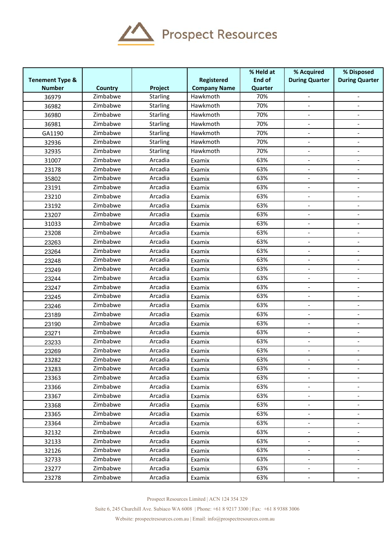

|                            |                |                 |                     | % Held at | % Acquired               | % Disposed                   |
|----------------------------|----------------|-----------------|---------------------|-----------|--------------------------|------------------------------|
| <b>Tenement Type &amp;</b> |                |                 | <b>Registered</b>   | End of    | <b>During Quarter</b>    | <b>During Quarter</b>        |
| <b>Number</b>              | <b>Country</b> | Project         | <b>Company Name</b> | Quarter   |                          |                              |
| 36979                      | Zimbabwe       | <b>Starling</b> | Hawkmoth            | 70%       |                          |                              |
| 36982                      | Zimbabwe       | <b>Starling</b> | Hawkmoth            | 70%       |                          |                              |
| 36980                      | Zimbabwe       | <b>Starling</b> | Hawkmoth            | 70%       |                          |                              |
| 36981                      | Zimbabwe       | Starling        | Hawkmoth            | 70%       | $\overline{a}$           | $\overline{\phantom{a}}$     |
| GA1190                     | Zimbabwe       | <b>Starling</b> | Hawkmoth            | 70%       |                          |                              |
| 32936                      | Zimbabwe       | <b>Starling</b> | Hawkmoth            | 70%       |                          |                              |
| 32935                      | Zimbabwe       | <b>Starling</b> | Hawkmoth            | 70%       | $\overline{\phantom{0}}$ | $\overline{a}$               |
| 31007                      | Zimbabwe       | Arcadia         | Examix              | 63%       |                          |                              |
| 23178                      | Zimbabwe       | Arcadia         | Examix              | 63%       |                          |                              |
| 35802                      | Zimbabwe       | Arcadia         | Examix              | 63%       | $\overline{\phantom{a}}$ | $\overline{\phantom{a}}$     |
| 23191                      | Zimbabwe       | Arcadia         | Examix              | 63%       |                          |                              |
| 23210                      | Zimbabwe       | Arcadia         | Examix              | 63%       |                          |                              |
| 23192                      | Zimbabwe       | Arcadia         | Examix              | 63%       | $\overline{\phantom{0}}$ | $\qquad \qquad \blacksquare$ |
| 23207                      | Zimbabwe       | Arcadia         | Examix              | 63%       | $\overline{\phantom{0}}$ | $\overline{a}$               |
| 31033                      | Zimbabwe       | Arcadia         | Examix              | 63%       |                          |                              |
| 23208                      | Zimbabwe       | Arcadia         | Examix              | 63%       | $\overline{\phantom{a}}$ | $\qquad \qquad \blacksquare$ |
| 23263                      | Zimbabwe       | Arcadia         | Examix              | 63%       |                          |                              |
| 23264                      | Zimbabwe       | Arcadia         | Examix              | 63%       |                          |                              |
| 23248                      | Zimbabwe       | Arcadia         | Examix              | 63%       |                          |                              |
| 23249                      | Zimbabwe       | Arcadia         | Examix              | 63%       | $\overline{a}$           |                              |
| 23244                      | Zimbabwe       | Arcadia         | Examix              | 63%       | $\overline{\phantom{0}}$ |                              |
| 23247                      | Zimbabwe       | Arcadia         | Examix              | 63%       |                          | $\overline{a}$               |
| 23245                      | Zimbabwe       | Arcadia         | Examix              | 63%       | $\overline{a}$           | $\overline{a}$               |
| 23246                      | Zimbabwe       | Arcadia         | Examix              | 63%       |                          |                              |
| 23189                      | Zimbabwe       | Arcadia         | Examix              | 63%       |                          |                              |
| 23190                      | Zimbabwe       | Arcadia         | Examix              | 63%       | $\overline{\phantom{0}}$ | $\blacksquare$               |
| 23271                      | Zimbabwe       | Arcadia         | Examix              | 63%       |                          |                              |
| 23233                      | Zimbabwe       | Arcadia         | Examix              | 63%       | $\overline{a}$           |                              |
| 23269                      | Zimbabwe       | Arcadia         | Examix              | 63%       | $\overline{\phantom{a}}$ | $\blacksquare$               |
| 23282                      | Zimbabwe       | Arcadia         | Examix              | 63%       |                          |                              |
| 23283                      | Zimbabwe       | Arcadia         | Examix              | 63%       |                          |                              |
| 23363                      | Zimbabwe       | Arcadia         | Examix              | 63%       | $\overline{\phantom{0}}$ | $\overline{\phantom{a}}$     |
| 23366                      | Zimbabwe       | Arcadia         | Examix              | 63%       |                          |                              |
| 23367                      | Zimbabwe       | Arcadia         | Examix              | 63%       |                          |                              |
| 23368                      | Zimbabwe       | Arcadia         | Examix              | 63%       | $\overline{\phantom{a}}$ | $\overline{\phantom{a}}$     |
| 23365                      | Zimbabwe       | Arcadia         | Examix              | 63%       | $\overline{\phantom{0}}$ |                              |
| 23364                      | Zimbabwe       | Arcadia         | Examix              | 63%       |                          |                              |
| 32132                      | Zimbabwe       | Arcadia         | Examix              | 63%       | $\overline{\phantom{0}}$ | $\overline{\phantom{0}}$     |
| 32133                      | Zimbabwe       | Arcadia         | Examix              | 63%       | $\overline{\phantom{0}}$ | $\overline{\phantom{a}}$     |
| 32126                      | Zimbabwe       | Arcadia         | Examix              | 63%       | $\blacksquare$           |                              |
| 32733                      | Zimbabwe       | Arcadia         | Examix              | 63%       | $\overline{\phantom{0}}$ |                              |
| 23277                      | Zimbabwe       | Arcadia         | Examix              | 63%       | $\overline{\phantom{0}}$ |                              |
| 23278                      | Zimbabwe       | Arcadia         | Examix              | 63%       |                          |                              |

Prospect Resources Limited | ACN 124 354 329

Suite 6, 245 Churchill Ave. Subiaco WA 6008 | Phone: +61 8 9217 3300 | Fax: +61 8 9388 3006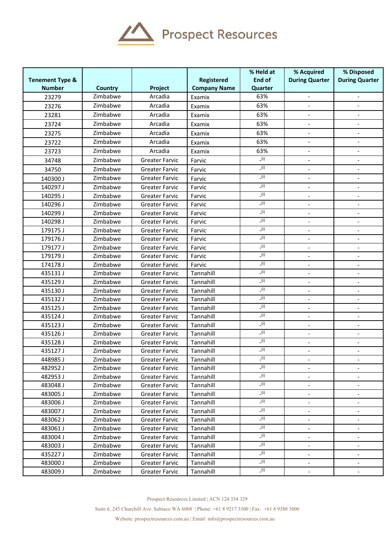

|                            |                      |                                                |                        | % Held at     | % Acquired                   | % Disposed                                           |
|----------------------------|----------------------|------------------------------------------------|------------------------|---------------|------------------------------|------------------------------------------------------|
| <b>Tenement Type &amp;</b> |                      |                                                | Registered             | <b>End of</b> | <b>During Quarter</b>        | <b>During Quarter</b>                                |
| <b>Number</b>              | <b>Country</b>       | Project                                        | <b>Company Name</b>    | Quarter       |                              |                                                      |
| 23279                      | Zimbabwe             | Arcadia                                        | Examix                 | 63%           |                              |                                                      |
| 23276                      | Zimbabwe             | Arcadia                                        | Examix                 | 63%           |                              |                                                      |
| 23281                      | Zimbabwe             | Arcadia                                        | Examix                 | 63%           |                              |                                                      |
| 23724                      | Zimbabwe             | Arcadia                                        | Examix                 | 63%           | $\overline{\phantom{a}}$     | $\overline{\phantom{a}}$                             |
| 23275                      | Zimbabwe             | Arcadia                                        | Examix                 | 63%           |                              |                                                      |
| 23722                      | Zimbabwe             | Arcadia                                        | Examix                 | 63%           |                              |                                                      |
| 23723                      | Zimbabwe             | Arcadia                                        | Examix                 | 63%           | $\overline{\phantom{a}}$     |                                                      |
| 34748                      | Zimbabwe             | <b>Greater Farvic</b>                          | Farvic                 | (i)           |                              |                                                      |
| 34750                      | Zimbabwe             | <b>Greater Farvic</b>                          | Farvic                 | (i)           | $\blacksquare$               |                                                      |
| 140300J                    | Zimbabwe             | <b>Greater Farvic</b>                          | Farvic                 | (i)           | $\overline{\phantom{a}}$     | $\qquad \qquad \blacksquare$                         |
| 140297 J                   | Zimbabwe             | <b>Greater Farvic</b>                          | Farvic                 | (i)           |                              |                                                      |
| 140295J                    | Zimbabwe             | <b>Greater Farvic</b>                          | Farvic                 | (i)           |                              |                                                      |
| 140296 J                   | Zimbabwe             | <b>Greater Farvic</b>                          | Farvic                 | (i)           |                              |                                                      |
| 140299 J                   | Zimbabwe             | <b>Greater Farvic</b>                          | Farvic                 | (i)           |                              |                                                      |
| 140298 J                   | Zimbabwe             | <b>Greater Farvic</b>                          | Farvic                 | (i)           | $\overline{\phantom{a}}$     | $\overline{\phantom{a}}$                             |
| 179175J                    | Zimbabwe             | <b>Greater Farvic</b>                          | Farvic                 | (i)           |                              |                                                      |
| 179176J                    | Zimbabwe             | <b>Greater Farvic</b>                          | Farvic                 | (i)           | $\overline{\phantom{a}}$     |                                                      |
| 179177J                    | Zimbabwe             | <b>Greater Farvic</b>                          | Farvic                 | (i)           |                              | $\overline{a}$                                       |
| 179179J                    | Zimbabwe             | <b>Greater Farvic</b>                          | Farvic                 | (i)           |                              | $\overline{\phantom{0}}$                             |
| 174178 J                   | Zimbabwe             | <b>Greater Farvic</b>                          | Farvic                 | (i)<br>(i)    | $\overline{\phantom{a}}$     | $\overline{\phantom{a}}$                             |
| 435131 J                   | Zimbabwe             | <b>Greater Farvic</b>                          | Tannahill              | (i)           |                              |                                                      |
| 435129 J                   | Zimbabwe             | <b>Greater Farvic</b>                          | Tannahill              | (i)           |                              |                                                      |
| 435130 J                   | Zimbabwe             | <b>Greater Farvic</b>                          | Tannahill              | (i)           |                              |                                                      |
| 435132J<br>435125J         | Zimbabwe<br>Zimbabwe | <b>Greater Farvic</b><br><b>Greater Farvic</b> | Tannahill<br>Tannahill | (i)           | $\overline{\phantom{a}}$     | $\overline{\phantom{0}}$<br>$\overline{\phantom{a}}$ |
| 435124 J                   | Zimbabwe             | <b>Greater Farvic</b>                          | Tannahill              | (i)           |                              |                                                      |
| 435123J                    | Zimbabwe             | <b>Greater Farvic</b>                          | Tannahill              | (i)           | $\overline{\phantom{a}}$     |                                                      |
| 435126J                    | Zimbabwe             | <b>Greater Farvic</b>                          | Tannahill              | (i)           | $\blacksquare$               |                                                      |
| 435128 J                   | Zimbabwe             | <b>Greater Farvic</b>                          | Tannahill              | (i)           | $\qquad \qquad \blacksquare$ | -                                                    |
| 435127J                    | Zimbabwe             | <b>Greater Farvic</b>                          | Tannahill              | (i)           | $\blacksquare$               | $\overline{\phantom{a}}$                             |
| 448985J                    | Zimbabwe             | <b>Greater Farvic</b>                          | Tannahill              | (i)           |                              |                                                      |
| 482952 J                   | Zimbabwe             | Greater Farvic                                 | Tannahill              | (i)           |                              |                                                      |
| 482953 J                   | Zimbabwe             | <b>Greater Farvic</b>                          | Tannahill              | (i)           |                              |                                                      |
| 483048 J                   | Zimbabwe             | <b>Greater Farvic</b>                          | Tannahill              | (i)           | ۰                            | ۰.                                                   |
| 483005J                    | Zimbabwe             | <b>Greater Farvic</b>                          | Tannahill              | (i)           | $\overline{\phantom{a}}$     |                                                      |
| 483006 J                   | Zimbabwe             | <b>Greater Farvic</b>                          | Tannahill              | (i)           |                              |                                                      |
| 483007J                    | Zimbabwe             | <b>Greater Farvic</b>                          | Tannahill              | (i)           |                              |                                                      |
| 483062J                    | Zimbabwe             | <b>Greater Farvic</b>                          | Tannahill              | (i)           |                              |                                                      |
| 483061 J                   | Zimbabwe             | <b>Greater Farvic</b>                          | Tannahill              | (i)           | ۰                            | $\overline{\phantom{0}}$                             |
| 483004 J                   | Zimbabwe             | <b>Greater Farvic</b>                          | Tannahill              | (i)           | $\overline{\phantom{a}}$     |                                                      |
| 483003J                    | Zimbabwe             | <b>Greater Farvic</b>                          | Tannahill              | (i)           |                              |                                                      |
| 435227 J                   | Zimbabwe             | Greater Farvic                                 | Tannahill              | (i)           |                              |                                                      |
| 483000 J                   | Zimbabwe             | <b>Greater Farvic</b>                          | Tannahill              | (i)           |                              |                                                      |
| 483009 J                   | Zimbabwe             | <b>Greater Farvic</b>                          | Tannahill              | (i)           | $\overline{\phantom{a}}$     | $\overline{\phantom{0}}$                             |

Suite 6, 245 Churchill Ave. Subiaco WA 6008 | Phone: +61 8 9217 3300 | Fax: +61 8 9388 3006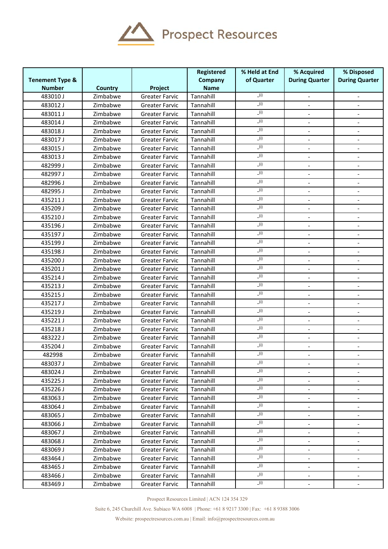

|                            |                |                       | Registered  | % Held at End | % Acquired                   | % Disposed                   |
|----------------------------|----------------|-----------------------|-------------|---------------|------------------------------|------------------------------|
| <b>Tenement Type &amp;</b> |                |                       | Company     | of Quarter    | <b>During Quarter</b>        | <b>During Quarter</b>        |
| <b>Number</b>              | <b>Country</b> | Project               | <b>Name</b> |               |                              |                              |
| 483010J                    | Zimbabwe       | <b>Greater Farvic</b> | Tannahill   | (i)           | $\frac{1}{2}$                | $\overline{\phantom{a}}$     |
| 483012J                    | Zimbabwe       | <b>Greater Farvic</b> | Tannahill   | (i)           |                              |                              |
| 483011J                    | Zimbabwe       | <b>Greater Farvic</b> | Tannahill   | (i)           |                              |                              |
| 483014J                    | Zimbabwe       | <b>Greater Farvic</b> | Tannahill   | (i)           |                              |                              |
| 483018J                    | Zimbabwe       | <b>Greater Farvic</b> | Tannahill   | (i)           | $\overline{\phantom{a}}$     | $\overline{\phantom{a}}$     |
| 483017J                    | Zimbabwe       | <b>Greater Farvic</b> | Tannahill   | (i)           | $\overline{\phantom{a}}$     | $\blacksquare$               |
| 483015J                    | Zimbabwe       | <b>Greater Farvic</b> | Tannahill   | (i)           |                              |                              |
| 483013J                    | Zimbabwe       | <b>Greater Farvic</b> | Tannahill   | (i)           |                              |                              |
| 482999 J                   | Zimbabwe       | <b>Greater Farvic</b> | Tannahill   | (i)           |                              |                              |
| 482997J                    | Zimbabwe       | <b>Greater Farvic</b> | Tannahill   | (i)           | $\qquad \qquad \blacksquare$ | $\overline{\phantom{a}}$     |
| 482996J                    | Zimbabwe       | <b>Greater Farvic</b> | Tannahill   | (i)           |                              |                              |
| 482995J                    | Zimbabwe       | <b>Greater Farvic</b> | Tannahill   | (i)           |                              |                              |
| 435211J                    | Zimbabwe       | <b>Greater Farvic</b> | Tannahill   | (i)           | $\blacksquare$               | $\overline{a}$               |
| 435209 J                   | Zimbabwe       | <b>Greater Farvic</b> | Tannahill   | (i)           |                              |                              |
| 435210J                    | Zimbabwe       | <b>Greater Farvic</b> | Tannahill   | (i)           | $\qquad \qquad \blacksquare$ | $\overline{\phantom{a}}$     |
| 435196J                    | Zimbabwe       | <b>Greater Farvic</b> | Tannahill   | (i)           | $\frac{1}{2}$                |                              |
| 435197J                    | Zimbabwe       | <b>Greater Farvic</b> | Tannahill   | (i)           | $\frac{1}{2}$                |                              |
| 435199J                    | Zimbabwe       | <b>Greater Farvic</b> | Tannahill   | (i)           |                              |                              |
| 435198J                    | Zimbabwe       | <b>Greater Farvic</b> | Tannahill   | (i)           |                              |                              |
| 435200 J                   | Zimbabwe       | <b>Greater Farvic</b> | Tannahill   | (i)           | $\qquad \qquad \blacksquare$ | $\overline{\phantom{a}}$     |
| 435201 J                   | Zimbabwe       | <b>Greater Farvic</b> | Tannahill   | (i)           | $\overline{a}$               | $\blacksquare$               |
| 435214 J                   | Zimbabwe       | <b>Greater Farvic</b> | Tannahill   | (i)           | $\qquad \qquad \blacksquare$ |                              |
| 435213J                    | Zimbabwe       | <b>Greater Farvic</b> | Tannahill   | (i)           | $\overline{\phantom{a}}$     |                              |
| 435215J                    | Zimbabwe       | <b>Greater Farvic</b> | Tannahill   | (i)           |                              | $\qquad \qquad \blacksquare$ |
| 435217J                    | Zimbabwe       | <b>Greater Farvic</b> | Tannahill   | (i)           | $\qquad \qquad \blacksquare$ | $\overline{\phantom{a}}$     |
| 435219J                    | Zimbabwe       | <b>Greater Farvic</b> | Tannahill   | (i)           | $\frac{1}{2}$                |                              |
| 435221J                    | Zimbabwe       | <b>Greater Farvic</b> | Tannahill   | (i)           |                              |                              |
| 435218J                    | Zimbabwe       | <b>Greater Farvic</b> | Tannahill   | (i)           |                              |                              |
| 483222J                    | Zimbabwe       | <b>Greater Farvic</b> | Tannahill   | (i)           |                              | $\qquad \qquad \blacksquare$ |
| 435204 J                   | Zimbabwe       | <b>Greater Farvic</b> | Tannahill   | (i)           | $\qquad \qquad \blacksquare$ | $\overline{\phantom{a}}$     |
| 482998                     | Zimbabwe       | <b>Greater Farvic</b> | Tannahill   | (i)           | $\overline{\phantom{a}}$     | $\overline{\phantom{a}}$     |
| 483037 J                   | Zimbabwe       | <b>Greater Farvic</b> | Tannahill   | (i)           |                              |                              |
| 483024 J                   | Zimbabwe       | <b>Greater Farvic</b> | Tannahill   | (i)           |                              |                              |
| 435225J                    | Zimbabwe       | <b>Greater Farvic</b> | Tannahill   | (i)           |                              | $\overline{\phantom{a}}$     |
| 435226 J                   | Zimbabwe       | <b>Greater Farvic</b> | Tannahill   | (i)           | $\qquad \qquad \blacksquare$ | $\overline{\phantom{a}}$     |
| 483063J                    | Zimbabwe       | <b>Greater Farvic</b> | Tannahill   | (i)           | $\overline{\phantom{a}}$     |                              |
| 483064 J                   | Zimbabwe       | <b>Greater Farvic</b> | Tannahill   | (i)           |                              |                              |
| 483065J                    | Zimbabwe       | <b>Greater Farvic</b> | Tannahill   | (i)           |                              |                              |
| 483066J                    | Zimbabwe       | <b>Greater Farvic</b> | Tannahill   | (i)           | -                            | $\overline{\phantom{a}}$     |
| 483067J                    | Zimbabwe       | <b>Greater Farvic</b> | Tannahill   | (i)           | $\qquad \qquad \blacksquare$ | $\overline{\phantom{a}}$     |
| 483068J                    | Zimbabwe       | <b>Greater Farvic</b> | Tannahill   | (i)           | $\overline{\phantom{a}}$     |                              |
| 483069 J                   | Zimbabwe       | Greater Farvic        | Tannahill   | (i)           | $\blacksquare$               |                              |
| 483464 J                   | Zimbabwe       | <b>Greater Farvic</b> | Tannahill   | (i)           |                              |                              |
| 483465 J                   | Zimbabwe       | <b>Greater Farvic</b> | Tannahill   | (i)           | $\qquad \qquad \blacksquare$ | $\overline{\phantom{a}}$     |
| 483466 J                   | Zimbabwe       | <b>Greater Farvic</b> | Tannahill   | (i)           | $\overline{\phantom{a}}$     | $\overline{\phantom{a}}$     |
| 483469 J                   | Zimbabwe       | Greater Farvic        | Tannahill   | (i)           | $\blacksquare$               |                              |

Prospect Resources Limited | ACN 124 354 329

Suite 6, 245 Churchill Ave. Subiaco WA 6008 | Phone: +61 8 9217 3300 | Fax: +61 8 9388 3006